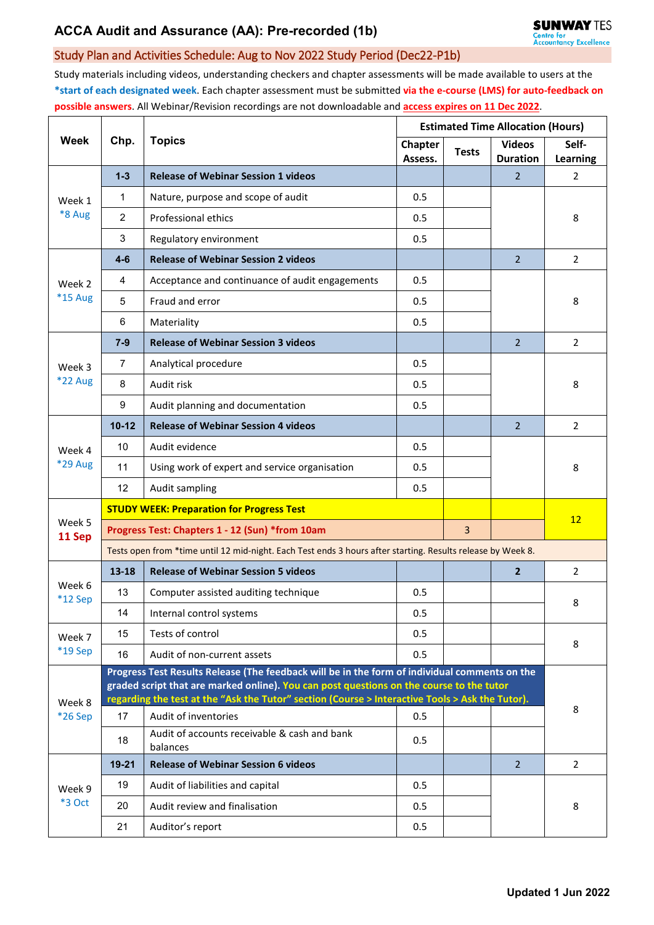# **ACCA Audit and Assurance (AA): Pre-recorded (1b)**

### Study Plan and Activities Schedule: Aug to Nov 2022 Study Period (Dec22-P1b)

Study materials including videos, understanding checkers and chapter assessments will be made available to users at the **\*start of each designated week**. Each chapter assessment must be submitted **via the e-course (LMS) for auto-feedback on possible answers**. All Webinar/Revision recordings are not downloadable and **access expires on 11 Dec 2022**.

| Week                     | Chp.                                                                                                                                                                                                                                                                                         | <b>Topics</b>                                            | <b>Estimated Time Allocation (Hours)</b> |              |                                  |                          |  |  |  |
|--------------------------|----------------------------------------------------------------------------------------------------------------------------------------------------------------------------------------------------------------------------------------------------------------------------------------------|----------------------------------------------------------|------------------------------------------|--------------|----------------------------------|--------------------------|--|--|--|
|                          |                                                                                                                                                                                                                                                                                              |                                                          | <b>Chapter</b><br>Assess.                | <b>Tests</b> | <b>Videos</b><br><b>Duration</b> | Self-<br><b>Learning</b> |  |  |  |
| Week 1<br>*8 Aug         | $1 - 3$                                                                                                                                                                                                                                                                                      | <b>Release of Webinar Session 1 videos</b>               |                                          |              | 2                                | $\overline{2}$           |  |  |  |
|                          | 1                                                                                                                                                                                                                                                                                            | Nature, purpose and scope of audit                       | 0.5                                      |              |                                  |                          |  |  |  |
|                          | $\overline{2}$                                                                                                                                                                                                                                                                               | Professional ethics                                      | 0.5                                      |              |                                  | 8                        |  |  |  |
|                          | 3                                                                                                                                                                                                                                                                                            | Regulatory environment                                   | 0.5                                      |              |                                  |                          |  |  |  |
| Week 2<br>$*15$ Aug      | $4-6$                                                                                                                                                                                                                                                                                        | <b>Release of Webinar Session 2 videos</b>               |                                          |              | $\overline{2}$                   | 2                        |  |  |  |
|                          | 4                                                                                                                                                                                                                                                                                            | Acceptance and continuance of audit engagements          | 0.5                                      |              |                                  | 8                        |  |  |  |
|                          | 5                                                                                                                                                                                                                                                                                            | Fraud and error                                          | 0.5                                      |              |                                  |                          |  |  |  |
|                          | 6                                                                                                                                                                                                                                                                                            | Materiality                                              | 0.5                                      |              |                                  |                          |  |  |  |
| Week 3<br><b>*22 Aug</b> | $7 - 9$                                                                                                                                                                                                                                                                                      | <b>Release of Webinar Session 3 videos</b>               |                                          |              | $\overline{2}$                   | $\overline{2}$           |  |  |  |
|                          | $\overline{7}$                                                                                                                                                                                                                                                                               | Analytical procedure                                     | 0.5                                      |              |                                  | 8                        |  |  |  |
|                          | 8                                                                                                                                                                                                                                                                                            | Audit risk                                               | 0.5                                      |              |                                  |                          |  |  |  |
|                          | 9                                                                                                                                                                                                                                                                                            | Audit planning and documentation                         | 0.5                                      |              |                                  |                          |  |  |  |
| Week 4<br>*29 Aug        | $10 - 12$                                                                                                                                                                                                                                                                                    | <b>Release of Webinar Session 4 videos</b>               |                                          |              | $\overline{2}$                   | $\overline{2}$           |  |  |  |
|                          | 10                                                                                                                                                                                                                                                                                           | Audit evidence                                           | 0.5                                      |              |                                  | 8                        |  |  |  |
|                          | 11                                                                                                                                                                                                                                                                                           | Using work of expert and service organisation            | 0.5                                      |              |                                  |                          |  |  |  |
|                          | 12                                                                                                                                                                                                                                                                                           | Audit sampling                                           | 0.5                                      |              |                                  |                          |  |  |  |
|                          |                                                                                                                                                                                                                                                                                              | <b>STUDY WEEK: Preparation for Progress Test</b>         |                                          |              |                                  |                          |  |  |  |
| Week 5<br>11 Sep         | Progress Test: Chapters 1 - 12 (Sun) *from 10am                                                                                                                                                                                                                                              |                                                          |                                          |              |                                  | 12                       |  |  |  |
|                          | Tests open from *time until 12 mid-night. Each Test ends 3 hours after starting. Results release by Week 8.                                                                                                                                                                                  |                                                          |                                          |              |                                  |                          |  |  |  |
| Week 6<br>*12 Sep        | 13-18                                                                                                                                                                                                                                                                                        | <b>Release of Webinar Session 5 videos</b>               |                                          |              | $\overline{2}$                   | 2                        |  |  |  |
|                          | 13                                                                                                                                                                                                                                                                                           | Computer assisted auditing technique                     | 0.5                                      |              |                                  | 8                        |  |  |  |
|                          | 14                                                                                                                                                                                                                                                                                           | Internal control systems                                 | 0.5                                      |              |                                  |                          |  |  |  |
| Week 7<br>*19 Sep        | 15                                                                                                                                                                                                                                                                                           | Tests of control                                         | 0.5                                      |              |                                  | 8                        |  |  |  |
|                          | 16                                                                                                                                                                                                                                                                                           | Audit of non-current assets                              | 0.5                                      |              |                                  |                          |  |  |  |
| Week 8<br>*26 Sep        | Progress Test Results Release (The feedback will be in the form of individual comments on the<br>graded script that are marked online). You can post questions on the course to the tutor<br>regarding the test at the "Ask the Tutor" section (Course > Interactive Tools > Ask the Tutor). |                                                          |                                          |              |                                  |                          |  |  |  |
|                          | 17                                                                                                                                                                                                                                                                                           | Audit of inventories                                     | 0.5                                      |              |                                  | 8                        |  |  |  |
|                          | 18                                                                                                                                                                                                                                                                                           | Audit of accounts receivable & cash and bank<br>balances | 0.5                                      |              |                                  |                          |  |  |  |
| Week 9<br>*3 Oct         | $19 - 21$                                                                                                                                                                                                                                                                                    | <b>Release of Webinar Session 6 videos</b>               |                                          |              | $\overline{2}$                   | $\overline{2}$           |  |  |  |
|                          | 19                                                                                                                                                                                                                                                                                           | Audit of liabilities and capital                         | 0.5                                      |              |                                  | 8                        |  |  |  |
|                          | 20                                                                                                                                                                                                                                                                                           | Audit review and finalisation                            | 0.5                                      |              |                                  |                          |  |  |  |
|                          | 21                                                                                                                                                                                                                                                                                           | Auditor's report                                         | 0.5                                      |              |                                  |                          |  |  |  |